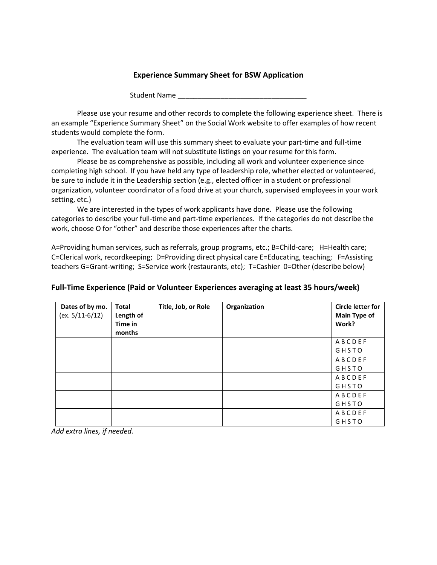## **Experience Summary Sheet for BSW Application**

Student Name

Please use your resume and other records to complete the following experience sheet. There is an example "Experience Summary Sheet" on the Social Work website to offer examples of how recent students would complete the form.

The evaluation team will use this summary sheet to evaluate your part-time and full-time experience. The evaluation team will not substitute listings on your resume for this form.

Please be as comprehensive as possible, including all work and volunteer experience since completing high school. If you have held any type of leadership role, whether elected or volunteered, be sure to include it in the Leadership section (e.g., elected officer in a student or professional organization, volunteer coordinator of a food drive at your church, supervised employees in your work setting, etc.)

We are interested in the types of work applicants have done. Please use the following categories to describe your full-time and part-time experiences. If the categories do not describe the work, choose O for "other" and describe those experiences after the charts.

A=Providing human services, such as referrals, group programs, etc.; B=Child-care; H=Health care; C=Clerical work, recordkeeping; D=Providing direct physical care E=Educating, teaching; F=Assisting teachers G=Grant-writing; S=Service work (restaurants, etc); T=Cashier 0=Other (describe below)

| Dates of by mo.<br>$(ex. 5/11-6/12)$ | <b>Total</b><br>Length of<br>Time in<br>months | Title, Job, or Role | Organization | <b>Circle letter for</b><br>Main Type of<br>Work? |
|--------------------------------------|------------------------------------------------|---------------------|--------------|---------------------------------------------------|
|                                      |                                                |                     |              | ABCDEF                                            |
|                                      |                                                |                     |              | GHSTO                                             |
|                                      |                                                |                     |              | ABCDEF                                            |
|                                      |                                                |                     |              | GHSTO                                             |
|                                      |                                                |                     |              | ABCDEF                                            |
|                                      |                                                |                     |              | GHSTO                                             |
|                                      |                                                |                     |              | ABCDEF                                            |
|                                      |                                                |                     |              | GHSTO                                             |
|                                      |                                                |                     |              | ABCDEF                                            |
|                                      |                                                |                     |              | GHSTO                                             |

## **Full-Time Experience (Paid or Volunteer Experiences averaging at least 35 hours/week)**

*Add extra lines, if needed.*